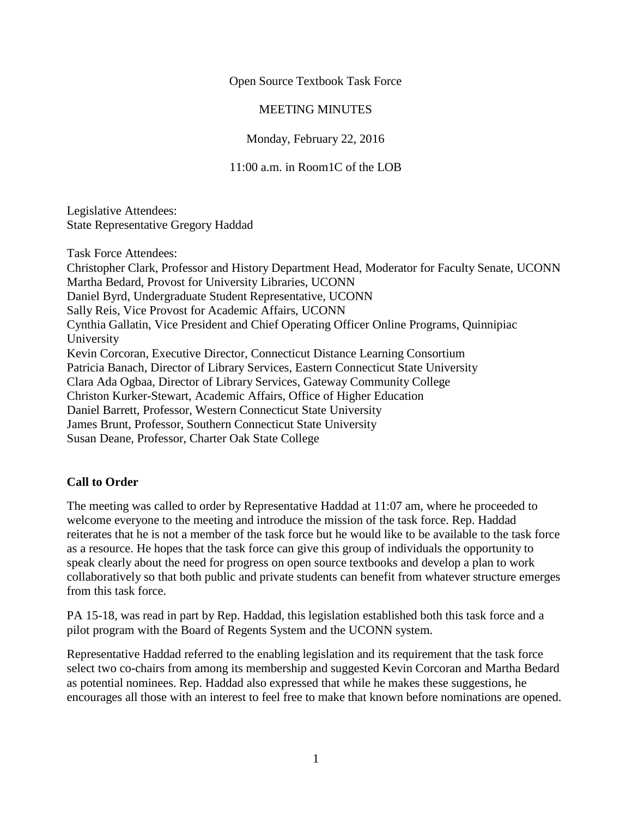Open Source Textbook Task Force

## MEETING MINUTES

Monday, February 22, 2016

11:00 a.m. in Room1C of the LOB

Legislative Attendees: State Representative Gregory Haddad

Task Force Attendees:

Christopher Clark, Professor and History Department Head, Moderator for Faculty Senate, UCONN Martha Bedard, Provost for University Libraries, UCONN Daniel Byrd, Undergraduate Student Representative, UCONN Sally Reis, Vice Provost for Academic Affairs, UCONN Cynthia Gallatin, Vice President and Chief Operating Officer Online Programs, Quinnipiac University Kevin Corcoran, Executive Director, Connecticut Distance Learning Consortium Patricia Banach, Director of Library Services, Eastern Connecticut State University Clara Ada Ogbaa, Director of Library Services, Gateway Community College Christon Kurker-Stewart, Academic Affairs, Office of Higher Education Daniel Barrett, Professor, Western Connecticut State University James Brunt, Professor, Southern Connecticut State University Susan Deane, Professor, Charter Oak State College

## **Call to Order**

The meeting was called to order by Representative Haddad at 11:07 am, where he proceeded to welcome everyone to the meeting and introduce the mission of the task force. Rep. Haddad reiterates that he is not a member of the task force but he would like to be available to the task force as a resource. He hopes that the task force can give this group of individuals the opportunity to speak clearly about the need for progress on open source textbooks and develop a plan to work collaboratively so that both public and private students can benefit from whatever structure emerges from this task force.

PA 15-18, was read in part by Rep. Haddad, this legislation established both this task force and a pilot program with the Board of Regents System and the UCONN system.

Representative Haddad referred to the enabling legislation and its requirement that the task force select two co-chairs from among its membership and suggested Kevin Corcoran and Martha Bedard as potential nominees. Rep. Haddad also expressed that while he makes these suggestions, he encourages all those with an interest to feel free to make that known before nominations are opened.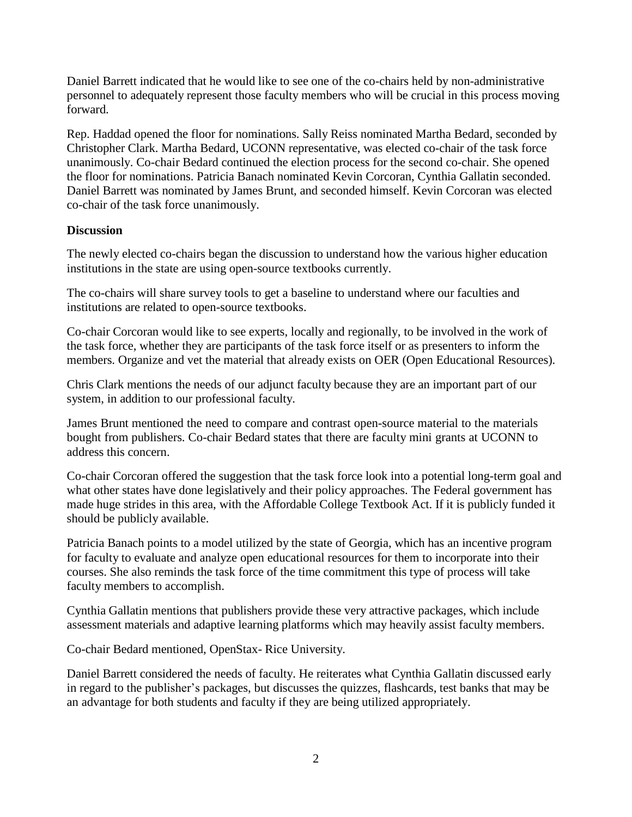Daniel Barrett indicated that he would like to see one of the co-chairs held by non-administrative personnel to adequately represent those faculty members who will be crucial in this process moving forward.

Rep. Haddad opened the floor for nominations. Sally Reiss nominated Martha Bedard, seconded by Christopher Clark. Martha Bedard, UCONN representative, was elected co-chair of the task force unanimously. Co-chair Bedard continued the election process for the second co-chair. She opened the floor for nominations. Patricia Banach nominated Kevin Corcoran, Cynthia Gallatin seconded. Daniel Barrett was nominated by James Brunt, and seconded himself. Kevin Corcoran was elected co-chair of the task force unanimously.

## **Discussion**

The newly elected co-chairs began the discussion to understand how the various higher education institutions in the state are using open-source textbooks currently.

The co-chairs will share survey tools to get a baseline to understand where our faculties and institutions are related to open-source textbooks.

Co-chair Corcoran would like to see experts, locally and regionally, to be involved in the work of the task force, whether they are participants of the task force itself or as presenters to inform the members. Organize and vet the material that already exists on OER (Open Educational Resources).

Chris Clark mentions the needs of our adjunct faculty because they are an important part of our system, in addition to our professional faculty.

James Brunt mentioned the need to compare and contrast open-source material to the materials bought from publishers. Co-chair Bedard states that there are faculty mini grants at UCONN to address this concern.

Co-chair Corcoran offered the suggestion that the task force look into a potential long-term goal and what other states have done legislatively and their policy approaches. The Federal government has made huge strides in this area, with the Affordable College Textbook Act. If it is publicly funded it should be publicly available.

Patricia Banach points to a model utilized by the state of Georgia, which has an incentive program for faculty to evaluate and analyze open educational resources for them to incorporate into their courses. She also reminds the task force of the time commitment this type of process will take faculty members to accomplish.

Cynthia Gallatin mentions that publishers provide these very attractive packages, which include assessment materials and adaptive learning platforms which may heavily assist faculty members.

Co-chair Bedard mentioned, OpenStax- Rice University.

Daniel Barrett considered the needs of faculty. He reiterates what Cynthia Gallatin discussed early in regard to the publisher's packages, but discusses the quizzes, flashcards, test banks that may be an advantage for both students and faculty if they are being utilized appropriately.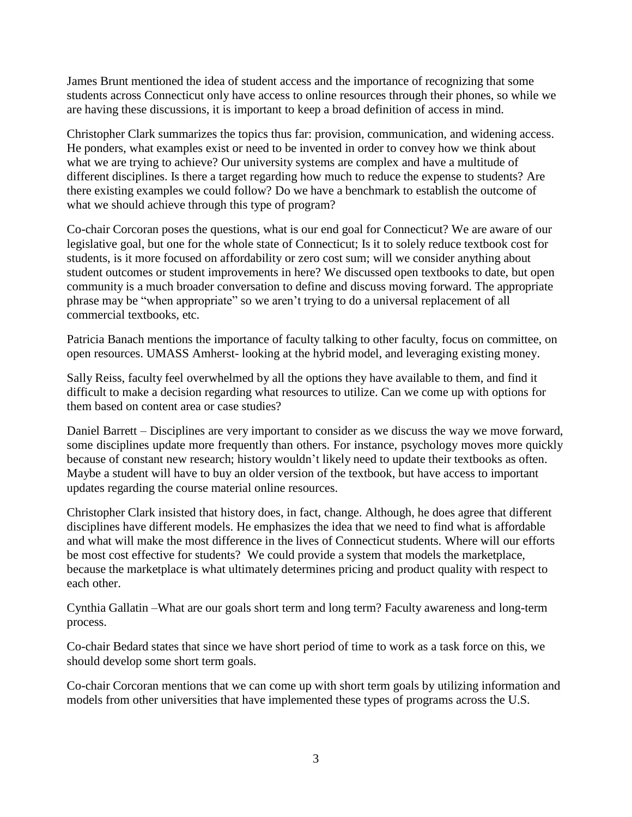James Brunt mentioned the idea of student access and the importance of recognizing that some students across Connecticut only have access to online resources through their phones, so while we are having these discussions, it is important to keep a broad definition of access in mind.

Christopher Clark summarizes the topics thus far: provision, communication, and widening access. He ponders, what examples exist or need to be invented in order to convey how we think about what we are trying to achieve? Our university systems are complex and have a multitude of different disciplines. Is there a target regarding how much to reduce the expense to students? Are there existing examples we could follow? Do we have a benchmark to establish the outcome of what we should achieve through this type of program?

Co-chair Corcoran poses the questions, what is our end goal for Connecticut? We are aware of our legislative goal, but one for the whole state of Connecticut; Is it to solely reduce textbook cost for students, is it more focused on affordability or zero cost sum; will we consider anything about student outcomes or student improvements in here? We discussed open textbooks to date, but open community is a much broader conversation to define and discuss moving forward. The appropriate phrase may be "when appropriate" so we aren't trying to do a universal replacement of all commercial textbooks, etc.

Patricia Banach mentions the importance of faculty talking to other faculty, focus on committee, on open resources. UMASS Amherst- looking at the hybrid model, and leveraging existing money.

Sally Reiss, faculty feel overwhelmed by all the options they have available to them, and find it difficult to make a decision regarding what resources to utilize. Can we come up with options for them based on content area or case studies?

Daniel Barrett – Disciplines are very important to consider as we discuss the way we move forward, some disciplines update more frequently than others. For instance, psychology moves more quickly because of constant new research; history wouldn't likely need to update their textbooks as often. Maybe a student will have to buy an older version of the textbook, but have access to important updates regarding the course material online resources.

Christopher Clark insisted that history does, in fact, change. Although, he does agree that different disciplines have different models. He emphasizes the idea that we need to find what is affordable and what will make the most difference in the lives of Connecticut students. Where will our efforts be most cost effective for students? We could provide a system that models the marketplace, because the marketplace is what ultimately determines pricing and product quality with respect to each other.

Cynthia Gallatin –What are our goals short term and long term? Faculty awareness and long-term process.

Co-chair Bedard states that since we have short period of time to work as a task force on this, we should develop some short term goals.

Co-chair Corcoran mentions that we can come up with short term goals by utilizing information and models from other universities that have implemented these types of programs across the U.S.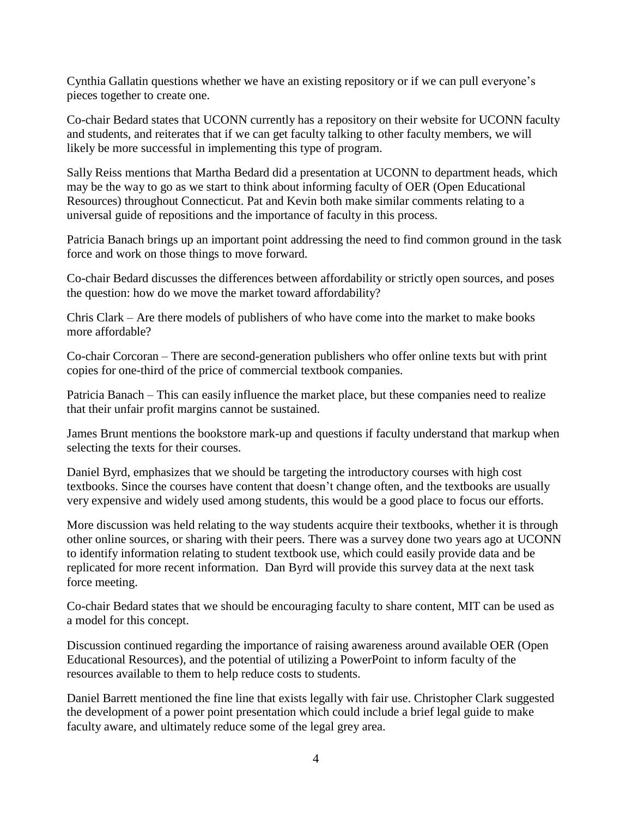Cynthia Gallatin questions whether we have an existing repository or if we can pull everyone's pieces together to create one.

Co-chair Bedard states that UCONN currently has a repository on their website for UCONN faculty and students, and reiterates that if we can get faculty talking to other faculty members, we will likely be more successful in implementing this type of program.

Sally Reiss mentions that Martha Bedard did a presentation at UCONN to department heads, which may be the way to go as we start to think about informing faculty of OER (Open Educational Resources) throughout Connecticut. Pat and Kevin both make similar comments relating to a universal guide of repositions and the importance of faculty in this process.

Patricia Banach brings up an important point addressing the need to find common ground in the task force and work on those things to move forward.

Co-chair Bedard discusses the differences between affordability or strictly open sources, and poses the question: how do we move the market toward affordability?

Chris Clark – Are there models of publishers of who have come into the market to make books more affordable?

Co-chair Corcoran – There are second-generation publishers who offer online texts but with print copies for one-third of the price of commercial textbook companies.

Patricia Banach – This can easily influence the market place, but these companies need to realize that their unfair profit margins cannot be sustained.

James Brunt mentions the bookstore mark-up and questions if faculty understand that markup when selecting the texts for their courses.

Daniel Byrd, emphasizes that we should be targeting the introductory courses with high cost textbooks. Since the courses have content that doesn't change often, and the textbooks are usually very expensive and widely used among students, this would be a good place to focus our efforts.

More discussion was held relating to the way students acquire their textbooks, whether it is through other online sources, or sharing with their peers. There was a survey done two years ago at UCONN to identify information relating to student textbook use, which could easily provide data and be replicated for more recent information. Dan Byrd will provide this survey data at the next task force meeting.

Co-chair Bedard states that we should be encouraging faculty to share content, MIT can be used as a model for this concept.

Discussion continued regarding the importance of raising awareness around available OER (Open Educational Resources), and the potential of utilizing a PowerPoint to inform faculty of the resources available to them to help reduce costs to students.

Daniel Barrett mentioned the fine line that exists legally with fair use. Christopher Clark suggested the development of a power point presentation which could include a brief legal guide to make faculty aware, and ultimately reduce some of the legal grey area.